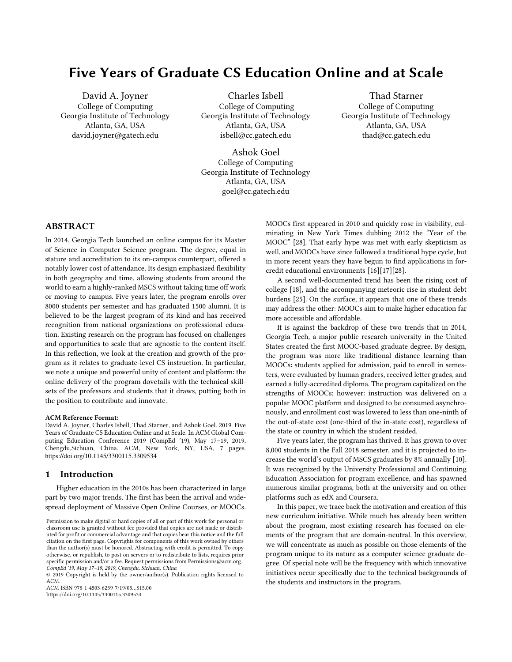# Five Years of Graduate CS Education Online and at Scale

David A. Joyner College of Computing Georgia Institute of Technology Atlanta, GA, USA david.joyner@gatech.edu

Charles Isbell College of Computing Georgia Institute of Technology Atlanta, GA, USA isbell@cc.gatech.edu

Ashok Goel College of Computing Georgia Institute of Technology Atlanta, GA, USA goel@cc.gatech.edu

Thad Starner College of Computing Georgia Institute of Technology Atlanta, GA, USA thad@cc.gatech.edu

# ABSTRACT

In 2014, Georgia Tech launched an online campus for its Master of Science in Computer Science program. The degree, equal in stature and accreditation to its on-campus counterpart, offered a notably lower cost of attendance. Its design emphasized flexibility in both geography and time, allowing students from around the world to earn a highly-ranked MSCS without taking time off work or moving to campus. Five years later, the program enrolls over 8000 students per semester and has graduated 1500 alumni. It is believed to be the largest program of its kind and has received recognition from national organizations on professional education. Existing research on the program has focused on challenges and opportunities to scale that are agnostic to the content itself. In this reflection, we look at the creation and growth of the program as it relates to graduate-level CS instruction. In particular, we note a unique and powerful unity of content and platform: the online delivery of the program dovetails with the technical skillsets of the professors and students that it draws, putting both in the position to contribute and innovate.

#### ACM Reference Format:

David A. Joyner, Charles Isbell, Thad Starner, and Ashok Goel. 2019. Five Years of Graduate CS Education Online and at Scale. In ACM Global Computing Education Conference 2019 (CompEd '19), May 17–19, 2019, Chengdu,Sichuan, China. ACM, New York, NY, USA, 7 pages. https://doi.org/10.1145/3300115.3309534

#### 1 Introduction

Higher education in the 2010s has been characterized in large part by two major trends. The first has been the arrival and widespread deployment of Massive Open Online Courses, or MOOCs.

ACM ISBN 978-1-4503-6259-7/19/05…\$15.00

https://doi.org/10.1145/3300115.3309534

MOOCs first appeared in 2010 and quickly rose in visibility, culminating in New York Times dubbing 2012 the "Year of the MOOC" [\[28\].](#page-6-0) That early hype was met with early skepticism as well, and MOOCs have since followed a traditional hype cycle, but in more recent years they have begun to find applications in forcredit educational environment[s \[16\]](#page-6-1)[\[17\]\[](#page-6-2)28].

A second well-documented trend has been the rising cost of college [\[18\],](#page-6-3) and the accompanying meteoric rise in student debt burdens [\[25\].](#page-6-4) On the surface, it appears that one of these trends may address the other: MOOCs aim to make higher education far more accessible and affordable.

It is against the backdrop of these two trends that in 2014, Georgia Tech, a major public research university in the United States created the first MOOC-based graduate degree. By design, the program was more like traditional distance learning than MOOCs: students applied for admission, paid to enroll in semesters, were evaluated by human graders, received letter grades, and earned a fully-accredited diploma. The program capitalized on the strengths of MOOCs; however: instruction was delivered on a popular MOOC platform and designed to be consumed asynchronously, and enrollment cost was lowered to less than one-ninth of the out-of-state cost (one-third of the in-state cost), regardless of the state or country in which the student resided.

Five years later, the program has thrived. It has grown to over 8,000 students in the Fall 2018 semester, and it is projected to increase the world's output of MSCS graduates by 8% annuall[y \[10\].](#page-6-5) It was recognized by the University Professional and Continuing Education Association for program excellence, and has spawned numerous similar programs, both at the university and on other platforms such as edX and Coursera.

In this paper, we trace back the motivation and creation of this new curriculum initiative. While much has already been written about the program, most existing research has focused on elements of the program that are domain-neutral. In this overview, we will concentrate as much as possible on those elements of the program unique to its nature as a computer science graduate degree. Of special note will be the frequency with which innovative initiatives occur specifically due to the technical backgrounds of the students and instructors in the program.

Permission to make digital or hard copies of all or part of this work for personal or classroom use is granted without fee provided that copies are not made or distributed for profit or commercial advantage and that copies bear this notice and the full citation on the first page. Copyrights for components of this work owned by others than the author(s) must be honored. Abstracting with credit is permitted. To copy otherwise, or republish, to post on servers or to redistribute to lists, requires prior specific permission and/or a fee. Request permissions from Permissions@acm.org. CompEd '19, May 17–19, 2019, Chengdu, Sichuan, China

<sup>© 2019</sup> Copyright is held by the owner/author(s). Publication rights licensed to ACM.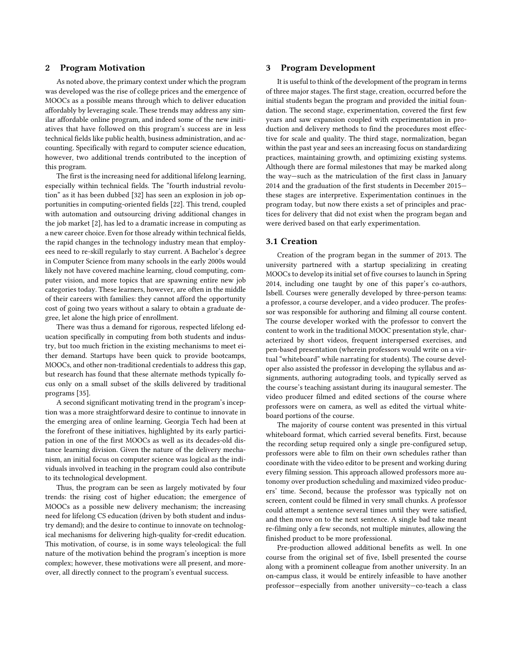## 2 Program Motivation

As noted above, the primary context under which the program was developed was the rise of college prices and the emergence of MOOCs as a possible means through which to deliver education affordably by leveraging scale. These trends may address any similar affordable online program, and indeed some of the new initiatives that have followed on this program's success are in less technical fields like public health, business administration, and accounting. Specifically with regard to computer science education, however, two additional trends contributed to the inception of this program.

The first is the increasing need for additional lifelong learning, especially within technical fields. The "fourth industrial revolution" as it has been dubbed [\[32\]](#page-6-6) has seen an explosion in job opportunities in computing-oriented fields [\[22\].](#page-6-7) This trend, coupled with automation and outsourcing driving additional changes in the job marke[t \[2\],](#page-6-8) has led to a dramatic increase in computing as a new career choice. Even for those already within technical fields, the rapid changes in the technology industry mean that employees need to re-skill regularly to stay current. A Bachelor's degree in Computer Science from many schools in the early 2000s would likely not have covered machine learning, cloud computing, computer vision, and more topics that are spawning entire new job categories today. These learners, however, are often in the middle of their careers with families: they cannot afford the opportunity cost of going two years without a salary to obtain a graduate degree, let alone the high price of enrollment.

There was thus a demand for rigorous, respected lifelong education specifically in computing from both students and industry, but too much friction in the existing mechanisms to meet either demand. Startups have been quick to provide bootcamps, MOOCs, and other non-traditional credentials to address this gap, but research has found that these alternate methods typically focus only on a small subset of the skills delivered by traditional program[s \[35\].](#page-6-9)

A second significant motivating trend in the program's inception was a more straightforward desire to continue to innovate in the emerging area of online learning. Georgia Tech had been at the forefront of these initiatives, highlighted by its early participation in one of the first MOOCs as well as its decades-old distance learning division. Given the nature of the delivery mechanism, an initial focus on computer science was logical as the individuals involved in teaching in the program could also contribute to its technological development.

Thus, the program can be seen as largely motivated by four trends: the rising cost of higher education; the emergence of MOOCs as a possible new delivery mechanism; the increasing need for lifelong CS education (driven by both student and industry demand); and the desire to continue to innovate on technological mechanisms for delivering high-quality for-credit education. This motivation, of course, is in some ways teleological: the full nature of the motivation behind the program's inception is more complex; however, these motivations were all present, and moreover, all directly connect to the program's eventual success.

### 3 Program Development

It is useful to think of the development of the program in terms of three major stages. The first stage, creation, occurred before the initial students began the program and provided the initial foundation. The second stage, experimentation, covered the first few years and saw expansion coupled with experimentation in production and delivery methods to find the procedures most effective for scale and quality. The third stage, normalization, began within the past year and sees an increasing focus on standardizing practices, maintaining growth, and optimizing existing systems. Although there are formal milestones that may be marked along the way—such as the matriculation of the first class in January 2014 and the graduation of the first students in December 2015 these stages are interpretive. Experimentation continues in the program today, but now there exists a set of principles and practices for delivery that did not exist when the program began and were derived based on that early experimentation.

## 3.1 Creation

Creation of the program began in the summer of 2013. The university partnered with a startup specializing in creating MOOCs to develop its initial set of five courses to launch in Spring 2014, including one taught by one of this paper's co-authors, Isbell. Courses were generally developed by three-person teams: a professor, a course developer, and a video producer. The professor was responsible for authoring and filming all course content. The course developer worked with the professor to convert the content to work in the traditional MOOC presentation style, characterized by short videos, frequent interspersed exercises, and pen-based presentation (wherein professors would write on a virtual "whiteboard" while narrating for students). The course developer also assisted the professor in developing the syllabus and assignments, authoring autograding tools, and typically served as the course's teaching assistant during its inaugural semester. The video producer filmed and edited sections of the course where professors were on camera, as well as edited the virtual whiteboard portions of the course.

The majority of course content was presented in this virtual whiteboard format, which carried several benefits. First, because the recording setup required only a single pre-configured setup, professors were able to film on their own schedules rather than coordinate with the video editor to be present and working during every filming session. This approach allowed professors more autonomy over production scheduling and maximized video producers' time. Second, because the professor was typically not on screen, content could be filmed in very small chunks. A professor could attempt a sentence several times until they were satisfied, and then move on to the next sentence. A single bad take meant re-filming only a few seconds, not multiple minutes, allowing the finished product to be more professional.

Pre-production allowed additional benefits as well. In one course from the original set of five, Isbell presented the course along with a prominent colleague from another university. In an on-campus class, it would be entirely infeasible to have another professor—especially from another university—co-teach a class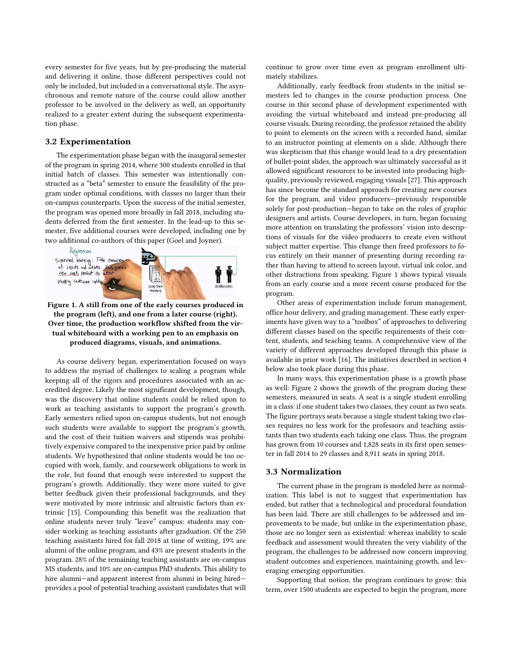every semester for five years, but by pre-producing the material and delivering it online, those different perspectives could not only be included, but included in a conversational style. The asynchronous and remote nature of the course could allow another professor to be involved in the delivery as well, an opportunity realized to a greater extent during the subsequent experimentation phase.

## 3.2 Experimentation

The experimentation phase began with the inaugural semester of the program in spring 2014, where 300 students enrolled in that initial batch of classes. This semester was intentionally constructed as a "beta" semester to ensure the feasibility of the program under optimal conditions, with classes no larger than their on-campus counterparts. Upon the success of the initial semester, the program was opened more broadly in fall 2018, including students deferred from the first semester. In the lead-up to this semester, five additional courses were developed, including one by two additional co-authors of this paper (Goel and Joyner).



Figure 1. A still from one of the early courses produced in the program (left), and one from a later course (right). Over time, the production workflow shifted from the virtual whiteboard with a working pen to an emphasis on produced diagrams, visuals, and animations.

As course delivery began, experimentation focused on ways to address the myriad of challenges to scaling a program while keeping all of the rigors and procedures associated with an accredited degree. Likely the most significant development, though, was the discovery that online students could be relied upon to work as teaching assistants to support the program's growth. Early semesters relied upon on-campus students, but not enough such students were available to support the program's growth, and the cost of their tuition waivers and stipends was prohibitively expensive compared to the inexpensive price paid by online students. We hypothesized that online students would be too occupied with work, family, and coursework obligations to work in the role, but found that enough were interested to support the program's growth. Additionally, they were more suited to give better feedback given their professional backgrounds, and they were motivated by more intrinsic and altruistic factors than extrinsic [\[15\].](#page-6-10) Compounding this benefit was the realization that online students never truly "leave" campus: students may consider working as teaching assistants after graduation. Of the 250 teaching assistants hired for fall 2018 at time of writing, 19% are alumni of the online program, and 43% are present students in the program. 28% of the remaining teaching assistants are on-campus MS students, and 10% are on-campus PhD students. This ability to hire alumni—and apparent interest from alumni in being hired provides a pool of potential teaching assistant candidates that will

continue to grow over time even as program enrollment ultimately stabilizes.

Additionally, early feedback from students in the initial semesters led to changes in the course production process. One course in this second phase of development experimented with avoiding the virtual whiteboard and instead pre-producing all course visuals. During recording, the professor retained the ability to point to elements on the screen with a recorded hand, similar to an instructor pointing at elements on a slide. Although there was skepticism that this change would lead to a dry presentation of bullet-point slides, the approach was ultimately successful as it allowed significant resources to be invested into producing highquality, previously reviewed, engaging visual[s \[27\].](#page-6-11) This approach has since become the standard approach for creating new courses for the program, and video producers—previously responsible solely for post-production—began to take on the roles of graphic designers and artists. Course developers, in turn, began focusing more attention on translating the professors' vision into descriptions of visuals for the video producers to create even without subject matter expertise. This change then freed professors to focus entirely on their manner of presenting during recording rather than having to attend to screen layout, virtual ink color, and other distractions from speaking. Figure 1 shows typical visuals from an early course and a more recent course produced for the program.

Other areas of experimentation include forum management, office hour delivery, and grading management. These early experiments have given way to a "toolbox" of approaches to delivering different classes based on the specific requirements of their content, students, and teaching teams. A comprehensive view of the variety of different approaches developed through this phase is available in prior wor[k \[16\].](#page-6-1) The initiatives described in section 4 below also took place during this phase.

In many ways, this experimentation phase is a growth phase as well: Figure 2 shows the growth of the program during these semesters, measured in seats. A seat is a single student enrolling in a class: if one student takes two classes, they count as two seats. The figure portrays seats because a single student taking two classes requires no less work for the professors and teaching assistants than two students each taking one class. Thus, the program has grown from 10 courses and 1,828 seats in its first open semester in fall 2014 to 29 classes and 8,911 seats in spring 2018.

#### 3.3 Normalization

The current phase in the program is modeled here as normalization. This label is not to suggest that experimentation has ended, but rather that a technological and procedural foundation has been laid. There are still challenges to be addressed and improvements to be made, but unlike in the experimentation phase, those are no longer seen as existential: whereas inability to scale feedback and assessment would threaten the very viability of the program, the challenges to be addressed now concern improving student outcomes and experiences, maintaining growth, and leveraging emerging opportunities.

Supporting that notion, the program continues to grow: this term, over 1500 students are expected to begin the program, more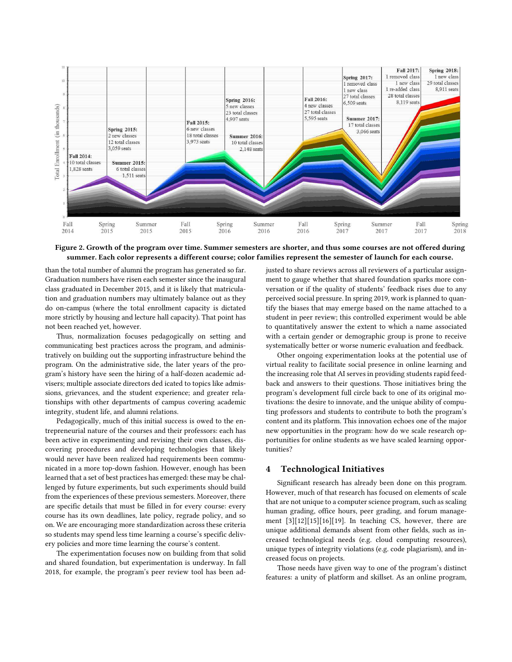

Figure 2. Growth of the program over time. Summer semesters are shorter, and thus some courses are not offered during summer. Each color represents a different course; color families represent the semester of launch for each course.

than the total number of alumni the program has generated so far. Graduation numbers have risen each semester since the inaugural class graduated in December 2015, and it is likely that matriculation and graduation numbers may ultimately balance out as they do on-campus (where the total enrollment capacity is dictated more strictly by housing and lecture hall capacity). That point has not been reached yet, however.

Thus, normalization focuses pedagogically on setting and communicating best practices across the program, and administratively on building out the supporting infrastructure behind the program. On the administrative side, the later years of the program's history have seen the hiring of a half-dozen academic advisers; multiple associate directors ded icated to topics like admissions, grievances, and the student experience; and greater relationships with other departments of campus covering academic integrity, student life, and alumni relations.

Pedagogically, much of this initial success is owed to the entrepreneurial nature of the courses and their professors: each has been active in experimenting and revising their own classes, discovering procedures and developing technologies that likely would never have been realized had requirements been communicated in a more top-down fashion. However, enough has been learned that a set of best practices has emerged: these may be challenged by future experiments, but such experiments should build from the experiences of these previous semesters. Moreover, there are specific details that must be filled in for every course: every course has its own deadlines, late policy, regrade policy, and so on. We are encouraging more standardization across these criteria so students may spend less time learning a course's specific delivery policies and more time learning the course's content.

The experimentation focuses now on building from that solid and shared foundation, but experimentation is underway. In fall 2018, for example, the program's peer review tool has been adjusted to share reviews across all reviewers of a particular assignment to gauge whether that shared foundation sparks more conversation or if the quality of students' feedback rises due to any perceived social pressure. In spring 2019, work is planned to quantify the biases that may emerge based on the name attached to a student in peer review; this controlled experiment would be able to quantitatively answer the extent to which a name associated with a certain gender or demographic group is prone to receive systematically better or worse numeric evaluation and feedback.

Other ongoing experimentation looks at the potential use of virtual reality to facilitate social presence in online learning and the increasing role that AI serves in providing students rapid feedback and answers to their questions. Those initiatives bring the program's development full circle back to one of its original motivations: the desire to innovate, and the unique ability of computing professors and students to contribute to both the program's content and its platform. This innovation echoes one of the major new opportunities in the program: how do we scale research opportunities for online students as we have scaled learning opportunities?

## 4 Technological Initiatives

Significant research has already been done on this program. However, much of that research has focused on elements of scale that are not unique to a computer science program, such as scaling human grading, office hours, peer grading, and forum management [\[3\]](#page-6-12)[\[12\]](#page-6-13)[\[15\]](#page-6-10)[\[16\]](#page-6-1)[\[19\].](#page-6-14) In teaching CS, however, there are unique additional demands absent from other fields, such as increased technological needs (e.g. cloud computing resources), unique types of integrity violations (e.g. code plagiarism), and increased focus on projects.

Those needs have given way to one of the program's distinct features: a unity of platform and skillset. As an online program,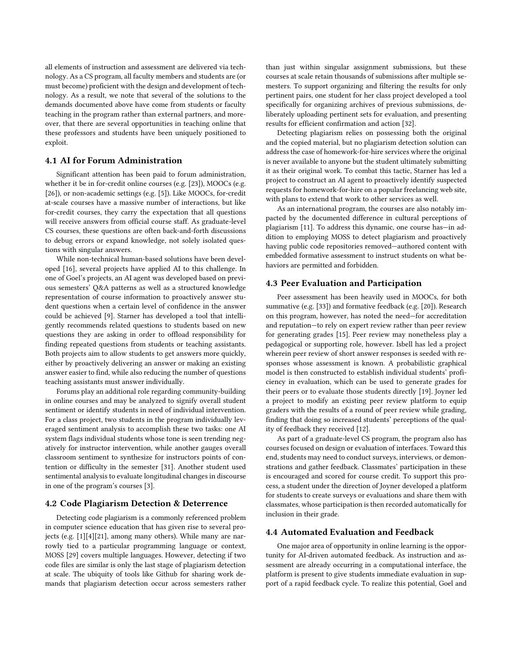all elements of instruction and assessment are delivered via technology. As a CS program, all faculty members and students are (or must become) proficient with the design and development of technology. As a result, we note that several of the solutions to the demands documented above have come from students or faculty teaching in the program rather than external partners, and moreover, that there are several opportunities in teaching online that these professors and students have been uniquely positioned to exploit.

# 4.1 AI for Forum Administration

Significant attention has been paid to forum administration, whether it be in for-credit online courses (e.g[. \[23\]\)](#page-6-15), MOOCs (e.g. [\[26\]\)](#page-6-16), or non-academic settings (e.g. [\[5\]\)](#page-6-17). Like MOOCs, for-credit at-scale courses have a massive number of interactions, but like for-credit courses, they carry the expectation that all questions will receive answers from official course staff. As graduate-level CS courses, these questions are often back-and-forth discussions to debug errors or expand knowledge, not solely isolated questions with singular answers.

While non-technical human-based solutions have been developed [\[16\],](#page-6-1) several projects have applied AI to this challenge. In one of Goel's projects, an AI agent was developed based on previous semesters' Q&A patterns as well as a structured knowledge representation of course information to proactively answer student questions when a certain level of confidence in the answer could be achieved [\[9\].](#page-6-18) Starner has developed a tool that intelligently recommends related questions to students based on new questions they are asking in order to offload responsibility for finding repeated questions from students or teaching assistants. Both projects aim to allow students to get answers more quickly, either by proactively delivering an answer or making an existing answer easier to find, while also reducing the number of questions teaching assistants must answer individually.

Forums play an additional role regarding community-building in online courses and may be analyzed to signify overall student sentiment or identify students in need of individual intervention. For a class project, two students in the program individually leveraged sentiment analysis to accomplish these two tasks: one AI system flags individual students whose tone is seen trending negatively for instructor intervention, while another gauges overall classroom sentiment to synthesize for instructors points of contention or difficulty in the semester [\[31\].](#page-6-19) Another student used sentimental analysis to evaluate longitudinal changes in discourse in one of the program's course[s \[3\].](#page-6-12) 

# 4.2 Code Plagiarism Detection & Deterrence

Detecting code plagiarism is a commonly referenced problem in computer science education that has given rise to several projects (e.g. [\[1\]](#page-6-20)[\[4\]](#page-6-21)[\[21\],](#page-6-22) among many others). While many are narrowly tied to a particular programming language or context, MOSS [29] covers multiple languages. However, detecting if two code files are similar is only the last stage of plagiarism detection at scale. The ubiquity of tools like Github for sharing work demands that plagiarism detection occur across semesters rather

than just within singular assignment submissions, but these courses at scale retain thousands of submissions after multiple semesters. To support organizing and filtering the results for only pertinent pairs, one student for her class project developed a tool specifically for organizing archives of previous submissions, deliberately uploading pertinent sets for evaluation, and presenting results for efficient confirmation and action [32].

Detecting plagiarism relies on possessing both the original and the copied material, but no plagiarism detection solution can address the case of homework-for-hire services where the original is never available to anyone but the student ultimately submitting it as their original work. To combat this tactic, Starner has led a project to construct an AI agent to proactively identify suspected requests for homework-for-hire on a popular freelancing web site, with plans to extend that work to other services as well.

As an international program, the courses are also notably impacted by the documented difference in cultural perceptions of plagiarism [\[11\].](#page-6-23) To address this dynamic, one course has—in addition to employing MOSS to detect plagiarism and proactively having public code repositories removed—authored content with embedded formative assessment to instruct students on what behaviors are permitted and forbidden.

#### 4.3 Peer Evaluation and Participation

Peer assessment has been heavily used in MOOCs, for both summative (e.g. [33]) and formative feedback (e.g[. \[20\]\)](#page-6-24). Research on this program, however, has noted the need—for accreditation and reputation—to rely on expert review rather than peer review for generating grades [\[15\].](#page-6-10) Peer review may nonetheless play a pedagogical or supporting role, however. Isbell has led a project wherein peer review of short answer responses is seeded with responses whose assessment is known. A probabilistic graphical model is then constructed to establish individual students' proficiency in evaluation, which can be used to generate grades for their peers or to evaluate those students directl[y \[19\].](#page-6-14) Joyner led a project to modify an existing peer review platform to equip graders with the results of a round of peer review while grading, finding that doing so increased students' perceptions of the quality of feedback they received [\[12\].](#page-6-13) 

As part of a graduate-level CS program, the program also has courses focused on design or evaluation of interfaces. Toward this end, students may need to conduct surveys, interviews, or demonstrations and gather feedback. Classmates' participation in these is encouraged and scored for course credit. To support this process, a student under the direction of Joyner developed a platform for students to create surveys or evaluations and share them with classmates, whose participation is then recorded automatically for inclusion in their grade.

#### 4.4 Automated Evaluation and Feedback

One major area of opportunity in online learning is the opportunity for AI-driven automated feedback. As instruction and assessment are already occurring in a computational interface, the platform is present to give students immediate evaluation in support of a rapid feedback cycle. To realize this potential, Goel and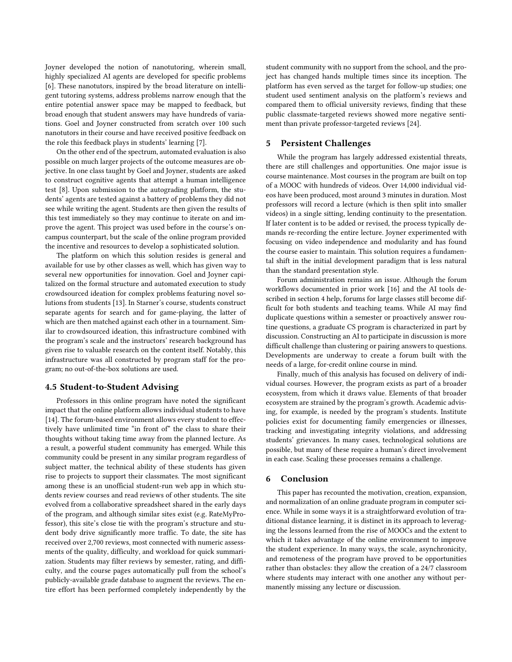Joyner developed the notion of nanotutoring, wherein small, highly specialized AI agents are developed for specific problems [\[6\].](#page-6-25) These nanotutors, inspired by the broad literature on intelligent tutoring systems, address problems narrow enough that the entire potential answer space may be mapped to feedback, but broad enough that student answers may have hundreds of variations. Goel and Joyner constructed from scratch over 100 such nanotutors in their course and have received positive feedback on the role this feedback plays in students' learnin[g \[7\].](#page-6-26)

On the other end of the spectrum, automated evaluation is also possible on much larger projects of the outcome measures are objective. In one class taught by Goel and Joyner, students are asked to construct cognitive agents that attempt a human intelligence test [\[8\].](#page-6-27) Upon submission to the autograding platform, the students' agents are tested against a battery of problems they did not see while writing the agent. Students are then given the results of this test immediately so they may continue to iterate on and improve the agent. This project was used before in the course's oncampus counterpart, but the scale of the online program provided the incentive and resources to develop a sophisticated solution.

The platform on which this solution resides is general and available for use by other classes as well, which has given way to several new opportunities for innovation. Goel and Joyner capitalized on the formal structure and automated execution to study crowdsourced ideation for complex problems featuring novel solutions from student[s \[13\].](#page-6-28) In Starner's course, students construct separate agents for search and for game-playing, the latter of which are then matched against each other in a tournament. Similar to crowdsourced ideation, this infrastructure combined with the program's scale and the instructors' research background has given rise to valuable research on the content itself. Notably, this infrastructure was all constructed by program staff for the program; no out-of-the-box solutions are used.

## 4.5 Student-to-Student Advising

Professors in this online program have noted the significant impact that the online platform allows individual students to have [\[14\].](#page-6-29) The forum-based environment allows every student to effectively have unlimited time "in front of" the class to share their thoughts without taking time away from the planned lecture. As a result, a powerful student community has emerged. While this community could be present in any similar program regardless of subject matter, the technical ability of these students has given rise to projects to support their classmates. The most significant among these is an unofficial student-run web app in which students review courses and read reviews of other students. The site evolved from a collaborative spreadsheet shared in the early days of the program, and although similar sites exist (e.g. RateMyProfessor), this site's close tie with the program's structure and student body drive significantly more traffic. To date, the site has received over 2,700 reviews, most connected with numeric assessments of the quality, difficulty, and workload for quick summarization. Students may filter reviews by semester, rating, and difficulty, and the course pages automatically pull from the school's publicly-available grade database to augment the reviews. The entire effort has been performed completely independently by the

student community with no support from the school, and the project has changed hands multiple times since its inception. The platform has even served as the target for follow-up studies; one student used sentiment analysis on the platform's reviews and compared them to official university reviews, finding that these public classmate-targeted reviews showed more negative sentiment than private professor-targeted reviews [\[24\].](#page-6-30) 

#### 5 Persistent Challenges

While the program has largely addressed existential threats, there are still challenges and opportunities. One major issue is course maintenance. Most courses in the program are built on top of a MOOC with hundreds of videos. Over 14,000 individual videos have been produced, most around 3 minutes in duration. Most professors will record a lecture (which is then split into smaller videos) in a single sitting, lending continuity to the presentation. If later content is to be added or revised, the process typically demands re-recording the entire lecture. Joyner experimented with focusing on video independence and modularity and has found the course easier to maintain. This solution requires a fundamental shift in the initial development paradigm that is less natural than the standard presentation style.

Forum administration remains an issue. Although the forum workflows documented in prior work [\[16\]](#page-6-1) and the AI tools described in section 4 help, forums for large classes still become difficult for both students and teaching teams. While AI may find duplicate questions within a semester or proactively answer routine questions, a graduate CS program is characterized in part by discussion. Constructing an AI to participate in discussion is more difficult challenge than clustering or pairing answers to questions. Developments are underway to create a forum built with the needs of a large, for-credit online course in mind.

Finally, much of this analysis has focused on delivery of individual courses. However, the program exists as part of a broader ecosystem, from which it draws value. Elements of that broader ecosystem are strained by the program's growth. Academic advising, for example, is needed by the program's students. Institute policies exist for documenting family emergencies or illnesses, tracking and investigating integrity violations, and addressing students' grievances. In many cases, technological solutions are possible, but many of these require a human's direct involvement in each case. Scaling these processes remains a challenge.

#### 6 Conclusion

This paper has recounted the motivation, creation, expansion, and normalization of an online graduate program in computer science. While in some ways it is a straightforward evolution of traditional distance learning, it is distinct in its approach to leveraging the lessons learned from the rise of MOOCs and the extent to which it takes advantage of the online environment to improve the student experience. In many ways, the scale, asynchronicity, and remoteness of the program have proved to be opportunities rather than obstacles: they allow the creation of a 24/7 classroom where students may interact with one another any without permanently missing any lecture or discussion.